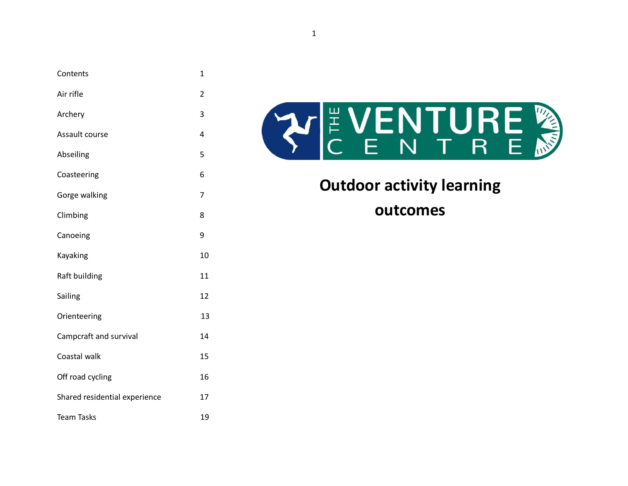| Contents                      | 1  |
|-------------------------------|----|
| Air rifle                     | 2  |
| Archery                       | 3  |
| Assault course                | 4  |
| Abseiling                     | 5  |
| Coasteering                   | 6  |
| Gorge walking                 | 7  |
| Climbing                      | 8  |
| Canoeing                      | 9  |
| Kayaking                      | 10 |
| Raft building                 | 11 |
| Sailing                       | 12 |
| Orienteering                  | 13 |
| Campcraft and survival        | 14 |
| Coastal walk                  | 15 |
| Off road cycling              | 16 |
| Shared residential experience | 17 |
| <b>Team Tasks</b>             | 19 |
|                               |    |



**Outdoor activity learning outcomes**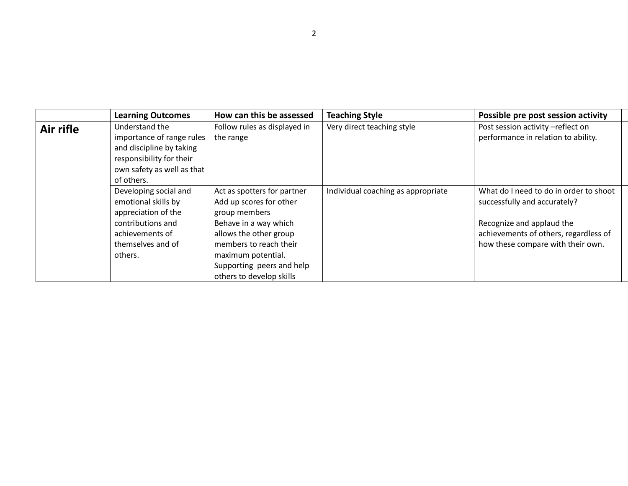|           | <b>Learning Outcomes</b>                                                                                                                        | How can this be assessed                                                                                                                             | <b>Teaching Style</b>              | Possible pre post session activity                                                                                                                                                |
|-----------|-------------------------------------------------------------------------------------------------------------------------------------------------|------------------------------------------------------------------------------------------------------------------------------------------------------|------------------------------------|-----------------------------------------------------------------------------------------------------------------------------------------------------------------------------------|
| Air rifle | Understand the<br>importance of range rules<br>and discipline by taking<br>responsibility for their<br>own safety as well as that<br>of others. | Follow rules as displayed in<br>the range                                                                                                            | Very direct teaching style         | Post session activity -reflect on<br>performance in relation to ability.                                                                                                          |
|           | Developing social and<br>emotional skills by<br>appreciation of the<br>contributions and<br>achievements of<br>themselves and of                | Act as spotters for partner<br>Add up scores for other<br>group members<br>Behave in a way which<br>allows the other group<br>members to reach their | Individual coaching as appropriate | What do I need to do in order to shoot<br>successfully and accurately?<br>Recognize and applaud the<br>achievements of others, regardless of<br>how these compare with their own. |
|           | others.                                                                                                                                         | maximum potential.<br>Supporting peers and help<br>others to develop skills                                                                          |                                    |                                                                                                                                                                                   |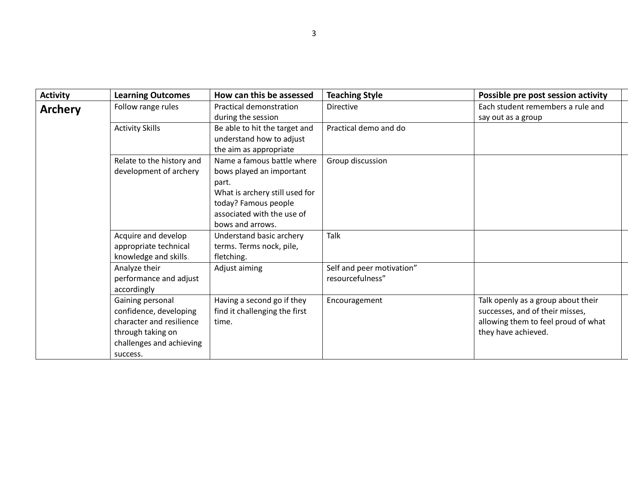| <b>Activity</b> | <b>Learning Outcomes</b>                                                                                                            | How can this be assessed                                                                                                                                                    | <b>Teaching Style</b>                         | Possible pre post session activity                                                                                                  |
|-----------------|-------------------------------------------------------------------------------------------------------------------------------------|-----------------------------------------------------------------------------------------------------------------------------------------------------------------------------|-----------------------------------------------|-------------------------------------------------------------------------------------------------------------------------------------|
| <b>Archery</b>  | Follow range rules                                                                                                                  | Practical demonstration<br>during the session                                                                                                                               | <b>Directive</b>                              | Each student remembers a rule and<br>say out as a group                                                                             |
|                 | <b>Activity Skills</b>                                                                                                              | Be able to hit the target and<br>understand how to adjust<br>the aim as appropriate                                                                                         | Practical demo and do                         |                                                                                                                                     |
|                 | Relate to the history and<br>development of archery                                                                                 | Name a famous battle where<br>bows played an important<br>part.<br>What is archery still used for<br>today? Famous people<br>associated with the use of<br>bows and arrows. | Group discussion                              |                                                                                                                                     |
|                 | Acquire and develop<br>appropriate technical<br>knowledge and skills.                                                               | Understand basic archery<br>terms. Terms nock, pile,<br>fletching.                                                                                                          | Talk                                          |                                                                                                                                     |
|                 | Analyze their<br>performance and adjust<br>accordingly                                                                              | Adjust aiming                                                                                                                                                               | Self and peer motivation"<br>resourcefulness" |                                                                                                                                     |
|                 | Gaining personal<br>confidence, developing<br>character and resilience<br>through taking on<br>challenges and achieving<br>success. | Having a second go if they<br>find it challenging the first<br>time.                                                                                                        | Encouragement                                 | Talk openly as a group about their<br>successes, and of their misses,<br>allowing them to feel proud of what<br>they have achieved. |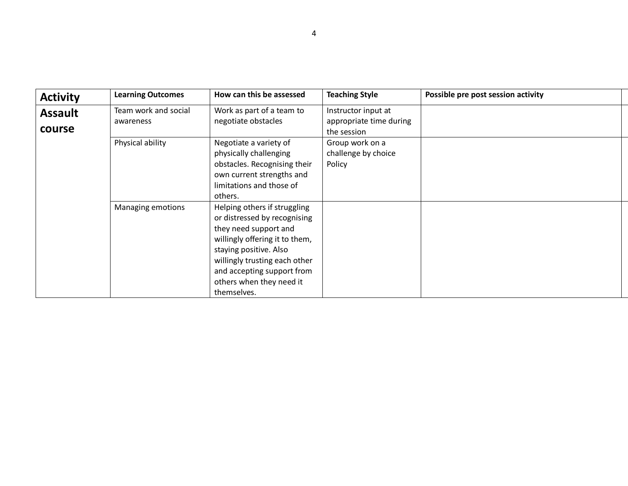| <b>Activity</b>          | <b>Learning Outcomes</b>          | How can this be assessed                                                                                                                                                                                                                                    | <b>Teaching Style</b>                                         | Possible pre post session activity |
|--------------------------|-----------------------------------|-------------------------------------------------------------------------------------------------------------------------------------------------------------------------------------------------------------------------------------------------------------|---------------------------------------------------------------|------------------------------------|
| <b>Assault</b><br>course | Team work and social<br>awareness | Work as part of a team to<br>negotiate obstacles                                                                                                                                                                                                            | Instructor input at<br>appropriate time during<br>the session |                                    |
|                          | Physical ability                  | Negotiate a variety of<br>physically challenging<br>obstacles. Recognising their<br>own current strengths and<br>limitations and those of<br>others.                                                                                                        | Group work on a<br>challenge by choice<br>Policy              |                                    |
|                          | Managing emotions                 | Helping others if struggling<br>or distressed by recognising<br>they need support and<br>willingly offering it to them,<br>staying positive. Also<br>willingly trusting each other<br>and accepting support from<br>others when they need it<br>themselves. |                                                               |                                    |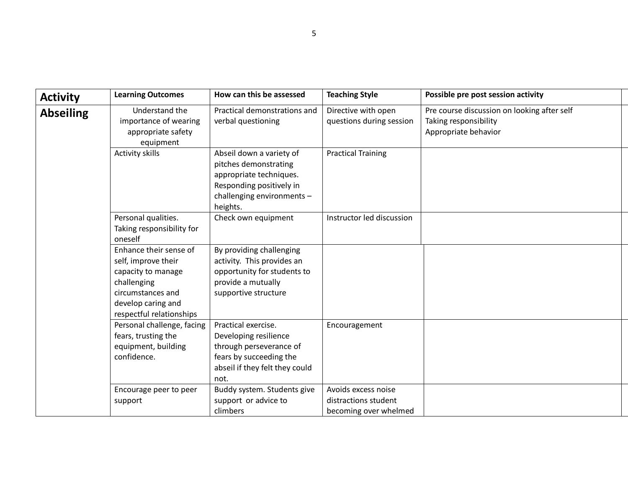| <b>Activity</b>  | <b>Learning Outcomes</b>                                                                                                                                  | How can this be assessed                                                                                                                           | <b>Teaching Style</b>                                                | Possible pre post session activity                                                           |
|------------------|-----------------------------------------------------------------------------------------------------------------------------------------------------------|----------------------------------------------------------------------------------------------------------------------------------------------------|----------------------------------------------------------------------|----------------------------------------------------------------------------------------------|
| <b>Abseiling</b> | Understand the<br>importance of wearing<br>appropriate safety<br>equipment                                                                                | Practical demonstrations and<br>verbal questioning                                                                                                 | Directive with open<br>questions during session                      | Pre course discussion on looking after self<br>Taking responsibility<br>Appropriate behavior |
|                  | <b>Activity skills</b>                                                                                                                                    | Abseil down a variety of<br>pitches demonstrating<br>appropriate techniques.<br>Responding positively in<br>challenging environments -<br>heights. | <b>Practical Training</b>                                            |                                                                                              |
|                  | Personal qualities.<br>Taking responsibility for<br>oneself                                                                                               | Check own equipment                                                                                                                                | Instructor led discussion                                            |                                                                                              |
|                  | Enhance their sense of<br>self, improve their<br>capacity to manage<br>challenging<br>circumstances and<br>develop caring and<br>respectful relationships | By providing challenging<br>activity. This provides an<br>opportunity for students to<br>provide a mutually<br>supportive structure                |                                                                      |                                                                                              |
|                  | Personal challenge, facing<br>fears, trusting the<br>equipment, building<br>confidence.                                                                   | Practical exercise.<br>Developing resilience<br>through perseverance of<br>fears by succeeding the<br>abseil if they felt they could<br>not.       | Encouragement                                                        |                                                                                              |
|                  | Encourage peer to peer<br>support                                                                                                                         | Buddy system. Students give<br>support or advice to<br>climbers                                                                                    | Avoids excess noise<br>distractions student<br>becoming over whelmed |                                                                                              |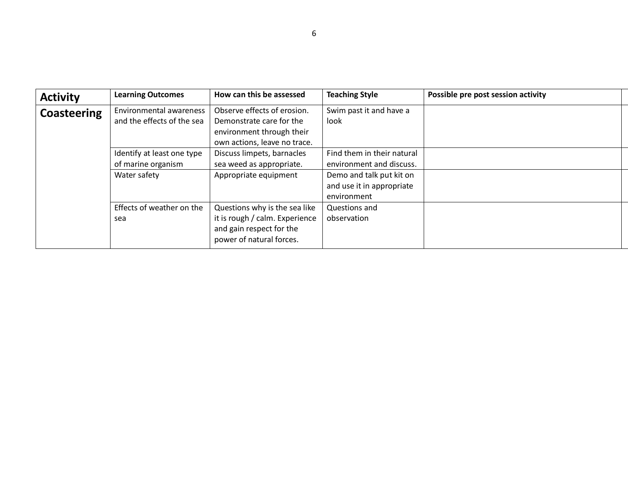| <b>Activity</b>    | <b>Learning Outcomes</b>                                         | How can this be assessed                                                                                                | <b>Teaching Style</b>                                                                                                          | Possible pre post session activity |  |
|--------------------|------------------------------------------------------------------|-------------------------------------------------------------------------------------------------------------------------|--------------------------------------------------------------------------------------------------------------------------------|------------------------------------|--|
| <b>Coasteering</b> | <b>Environmental awareness</b><br>and the effects of the sea     | Observe effects of erosion.<br>Demonstrate care for the<br>environment through their<br>own actions, leave no trace.    | Swim past it and have a<br>look                                                                                                |                                    |  |
|                    | Identify at least one type<br>of marine organism<br>Water safety | Discuss limpets, barnacles<br>sea weed as appropriate.<br>Appropriate equipment                                         | Find them in their natural<br>environment and discuss.<br>Demo and talk put kit on<br>and use it in appropriate<br>environment |                                    |  |
|                    | Effects of weather on the<br>sea                                 | Questions why is the sea like<br>it is rough / calm. Experience<br>and gain respect for the<br>power of natural forces. | Questions and<br>observation                                                                                                   |                                    |  |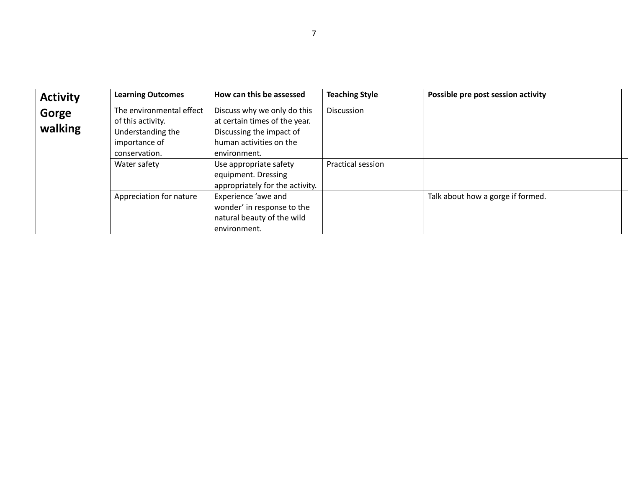| <b>Activity</b>  | <b>Learning Outcomes</b>                                                                             | How can this be assessed                                                                                                            | <b>Teaching Style</b>    | Possible pre post session activity |  |
|------------------|------------------------------------------------------------------------------------------------------|-------------------------------------------------------------------------------------------------------------------------------------|--------------------------|------------------------------------|--|
| Gorge<br>walking | The environmental effect<br>of this activity.<br>Understanding the<br>importance of<br>conservation. | Discuss why we only do this<br>at certain times of the year.<br>Discussing the impact of<br>human activities on the<br>environment. | <b>Discussion</b>        |                                    |  |
|                  | Water safety                                                                                         | Use appropriate safety<br>equipment. Dressing<br>appropriately for the activity.                                                    | <b>Practical session</b> |                                    |  |
|                  | Appreciation for nature                                                                              | Experience 'awe and<br>wonder' in response to the<br>natural beauty of the wild<br>environment.                                     |                          | Talk about how a gorge if formed.  |  |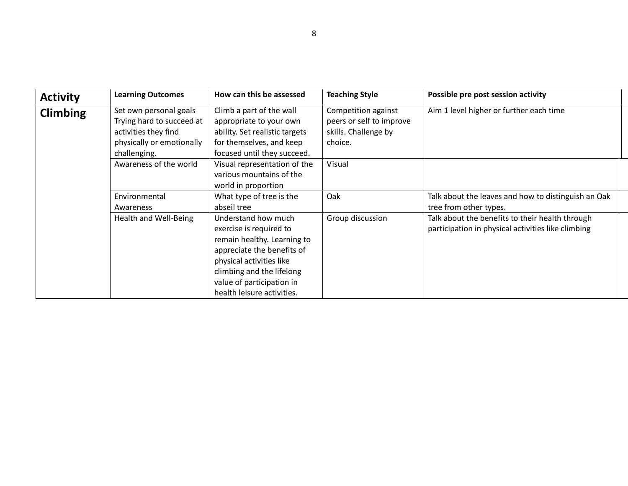| <b>Activity</b> | <b>Learning Outcomes</b>                                                                                                 | How can this be assessed                                                                                                                                                                                                        | <b>Teaching Style</b>                                                              | Possible pre post session activity                                                                    |
|-----------------|--------------------------------------------------------------------------------------------------------------------------|---------------------------------------------------------------------------------------------------------------------------------------------------------------------------------------------------------------------------------|------------------------------------------------------------------------------------|-------------------------------------------------------------------------------------------------------|
| <b>Climbing</b> | Set own personal goals<br>Trying hard to succeed at<br>activities they find<br>physically or emotionally<br>challenging. | Climb a part of the wall<br>appropriate to your own<br>ability. Set realistic targets<br>for themselves, and keep<br>focused until they succeed.                                                                                | Competition against<br>peers or self to improve<br>skills. Challenge by<br>choice. | Aim 1 level higher or further each time                                                               |
|                 | Awareness of the world                                                                                                   | Visual representation of the<br>various mountains of the<br>world in proportion                                                                                                                                                 | Visual                                                                             |                                                                                                       |
|                 | Environmental<br>Awareness                                                                                               | What type of tree is the<br>abseil tree                                                                                                                                                                                         | Oak                                                                                | Talk about the leaves and how to distinguish an Oak<br>tree from other types.                         |
|                 | Health and Well-Being                                                                                                    | Understand how much<br>exercise is required to<br>remain healthy. Learning to<br>appreciate the benefits of<br>physical activities like<br>climbing and the lifelong<br>value of participation in<br>health leisure activities. | Group discussion                                                                   | Talk about the benefits to their health through<br>participation in physical activities like climbing |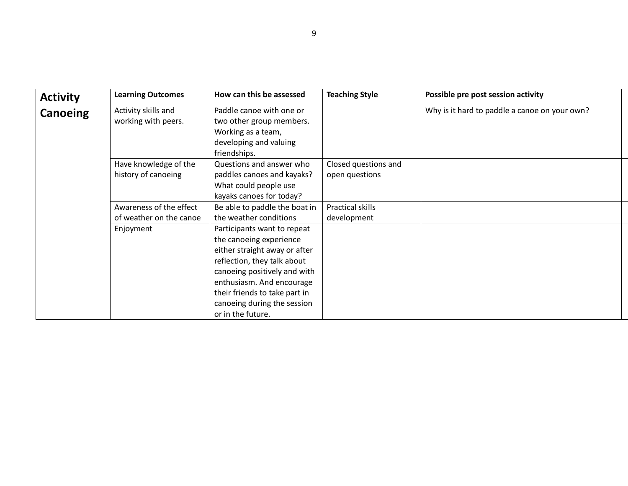| <b>Activity</b> | <b>Learning Outcomes</b>                           | How can this be assessed                                                                                                                                                                                                                                                 | <b>Teaching Style</b>                  | Possible pre post session activity            |
|-----------------|----------------------------------------------------|--------------------------------------------------------------------------------------------------------------------------------------------------------------------------------------------------------------------------------------------------------------------------|----------------------------------------|-----------------------------------------------|
| Canoeing        | Activity skills and<br>working with peers.         | Paddle canoe with one or<br>two other group members.<br>Working as a team,<br>developing and valuing<br>friendships.                                                                                                                                                     |                                        | Why is it hard to paddle a canoe on your own? |
|                 | Have knowledge of the<br>history of canoeing       | Questions and answer who<br>paddles canoes and kayaks?<br>What could people use<br>kayaks canoes for today?                                                                                                                                                              | Closed questions and<br>open questions |                                               |
|                 | Awareness of the effect<br>of weather on the canoe | Be able to paddle the boat in<br>the weather conditions                                                                                                                                                                                                                  | Practical skills<br>development        |                                               |
|                 | Enjoyment                                          | Participants want to repeat<br>the canoeing experience<br>either straight away or after<br>reflection, they talk about<br>canoeing positively and with<br>enthusiasm. And encourage<br>their friends to take part in<br>canoeing during the session<br>or in the future. |                                        |                                               |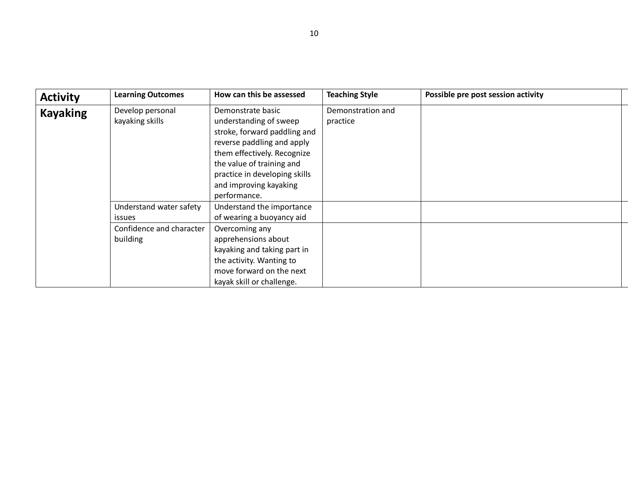| <b>Activity</b> | <b>Learning Outcomes</b>                 | How can this be assessed                                                                                                                                                                                                                         | <b>Teaching Style</b>         | Possible pre post session activity |
|-----------------|------------------------------------------|--------------------------------------------------------------------------------------------------------------------------------------------------------------------------------------------------------------------------------------------------|-------------------------------|------------------------------------|
| <b>Kayaking</b> | Develop personal<br>kayaking skills      | Demonstrate basic<br>understanding of sweep<br>stroke, forward paddling and<br>reverse paddling and apply<br>them effectively. Recognize<br>the value of training and<br>practice in developing skills<br>and improving kayaking<br>performance. | Demonstration and<br>practice |                                    |
|                 | Understand water safety<br><b>issues</b> | Understand the importance<br>of wearing a buoyancy aid                                                                                                                                                                                           |                               |                                    |
|                 | Confidence and character<br>building     | Overcoming any<br>apprehensions about<br>kayaking and taking part in<br>the activity. Wanting to<br>move forward on the next<br>kayak skill or challenge.                                                                                        |                               |                                    |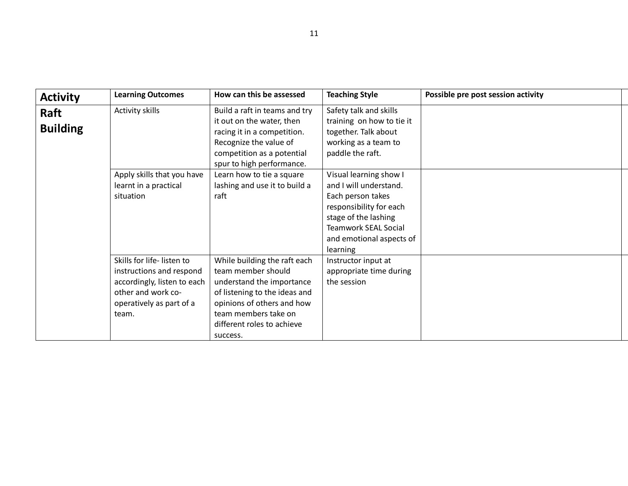| <b>Activity</b>         | <b>Learning Outcomes</b>                                                                                                                        | How can this be assessed                                                                                                                                                                                                                     | <b>Teaching Style</b>                                                                                                                                                       | Possible pre post session activity |
|-------------------------|-------------------------------------------------------------------------------------------------------------------------------------------------|----------------------------------------------------------------------------------------------------------------------------------------------------------------------------------------------------------------------------------------------|-----------------------------------------------------------------------------------------------------------------------------------------------------------------------------|------------------------------------|
| Raft<br><b>Building</b> | Activity skills<br>Apply skills that you have<br>learnt in a practical                                                                          | Build a raft in teams and try<br>it out on the water, then<br>racing it in a competition.<br>Recognize the value of<br>competition as a potential<br>spur to high performance.<br>Learn how to tie a square<br>lashing and use it to build a | Safety talk and skills<br>training on how to tie it<br>together. Talk about<br>working as a team to<br>paddle the raft.<br>Visual learning show I<br>and I will understand. |                                    |
|                         | situation                                                                                                                                       | raft                                                                                                                                                                                                                                         | Each person takes<br>responsibility for each<br>stage of the lashing<br><b>Teamwork SEAL Social</b><br>and emotional aspects of<br>learning                                 |                                    |
|                         | Skills for life-listen to<br>instructions and respond<br>accordingly, listen to each<br>other and work co-<br>operatively as part of a<br>team. | While building the raft each<br>team member should<br>understand the importance<br>of listening to the ideas and<br>opinions of others and how<br>team members take on<br>different roles to achieve<br>success.                             | Instructor input at<br>appropriate time during<br>the session                                                                                                               |                                    |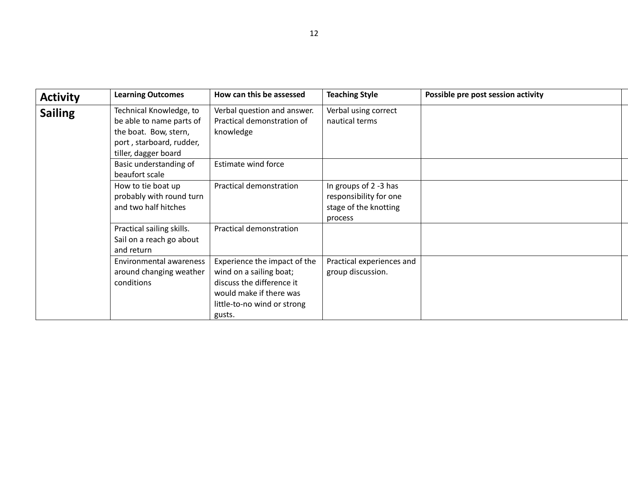| <b>Activity</b> | <b>Learning Outcomes</b>                                                                                                         | How can this be assessed                                                                                                                                 | <b>Teaching Style</b>                                                               | Possible pre post session activity |
|-----------------|----------------------------------------------------------------------------------------------------------------------------------|----------------------------------------------------------------------------------------------------------------------------------------------------------|-------------------------------------------------------------------------------------|------------------------------------|
| <b>Sailing</b>  | Technical Knowledge, to<br>be able to name parts of<br>the boat. Bow, stern,<br>port, starboard, rudder,<br>tiller, dagger board | Verbal question and answer.<br>Practical demonstration of<br>knowledge                                                                                   | Verbal using correct<br>nautical terms                                              |                                    |
|                 | Basic understanding of<br>beaufort scale                                                                                         | Estimate wind force                                                                                                                                      |                                                                                     |                                    |
|                 | How to tie boat up<br>probably with round turn<br>and two half hitches                                                           | Practical demonstration                                                                                                                                  | In groups of 2 -3 has<br>responsibility for one<br>stage of the knotting<br>process |                                    |
|                 | Practical sailing skills.<br>Sail on a reach go about<br>and return                                                              | Practical demonstration                                                                                                                                  |                                                                                     |                                    |
|                 | Environmental awareness<br>around changing weather<br>conditions                                                                 | Experience the impact of the<br>wind on a sailing boat;<br>discuss the difference it<br>would make if there was<br>little-to-no wind or strong<br>gusts. | Practical experiences and<br>group discussion.                                      |                                    |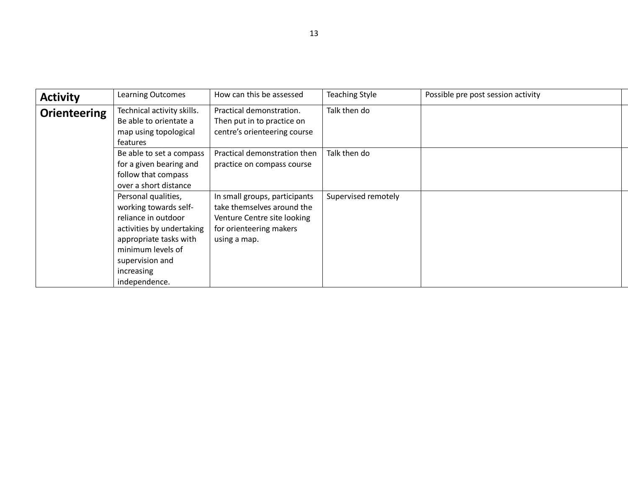| <b>Activity</b>     | <b>Learning Outcomes</b>                                                                                                                                                                          | How can this be assessed                                                                                                              | <b>Teaching Style</b> | Possible pre post session activity |
|---------------------|---------------------------------------------------------------------------------------------------------------------------------------------------------------------------------------------------|---------------------------------------------------------------------------------------------------------------------------------------|-----------------------|------------------------------------|
| <b>Orienteering</b> | Technical activity skills.<br>Be able to orientate a<br>map using topological<br>features                                                                                                         | Practical demonstration.<br>Then put in to practice on<br>centre's orienteering course                                                | Talk then do          |                                    |
|                     | Be able to set a compass<br>for a given bearing and<br>follow that compass<br>over a short distance                                                                                               | Practical demonstration then<br>practice on compass course                                                                            | Talk then do          |                                    |
|                     | Personal qualities,<br>working towards self-<br>reliance in outdoor<br>activities by undertaking<br>appropriate tasks with<br>minimum levels of<br>supervision and<br>increasing<br>independence. | In small groups, participants<br>take themselves around the<br>Venture Centre site looking<br>for orienteering makers<br>using a map. | Supervised remotely   |                                    |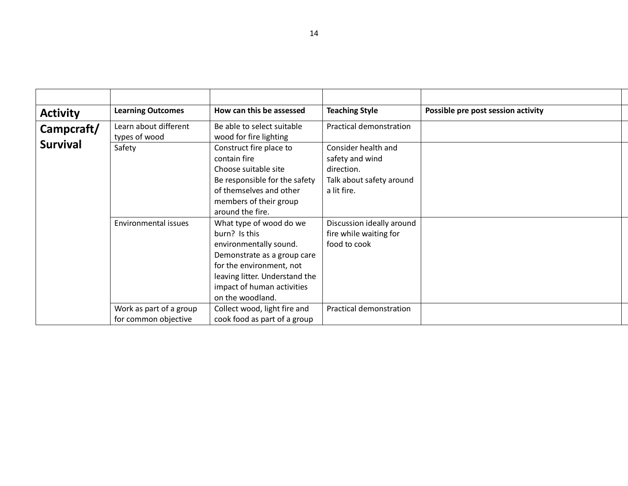| <b>Activity</b>             | <b>Learning Outcomes</b>                        | How can this be assessed                                                                                                                                                                                          | <b>Teaching Style</b>                                                                           | Possible pre post session activity |
|-----------------------------|-------------------------------------------------|-------------------------------------------------------------------------------------------------------------------------------------------------------------------------------------------------------------------|-------------------------------------------------------------------------------------------------|------------------------------------|
| Campcraft/                  | Learn about different<br>types of wood          | Be able to select suitable<br>wood for fire lighting                                                                                                                                                              | Practical demonstration                                                                         |                                    |
| <b>Survival</b>             | Safety                                          | Construct fire place to<br>contain fire<br>Choose suitable site<br>Be responsible for the safety<br>of themselves and other<br>members of their group<br>around the fire.                                         | Consider health and<br>safety and wind<br>direction.<br>Talk about safety around<br>a lit fire. |                                    |
| <b>Environmental issues</b> |                                                 | What type of wood do we<br>burn? Is this<br>environmentally sound.<br>Demonstrate as a group care<br>for the environment, not<br>leaving litter. Understand the<br>impact of human activities<br>on the woodland. | Discussion ideally around<br>fire while waiting for<br>food to cook                             |                                    |
|                             | Work as part of a group<br>for common objective | Collect wood, light fire and<br>cook food as part of a group                                                                                                                                                      | Practical demonstration                                                                         |                                    |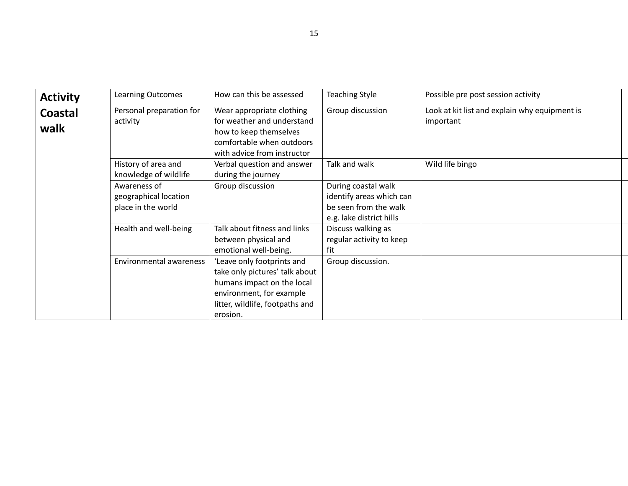| <b>Activity</b>                                                | <b>Learning Outcomes</b>                     | How can this be assessed                                                                                                                                              | <b>Teaching Style</b>                                                                                | Possible pre post session activity                         |
|----------------------------------------------------------------|----------------------------------------------|-----------------------------------------------------------------------------------------------------------------------------------------------------------------------|------------------------------------------------------------------------------------------------------|------------------------------------------------------------|
| Personal preparation for<br><b>Coastal</b><br>activity<br>walk |                                              | Wear appropriate clothing<br>for weather and understand<br>how to keep themselves<br>comfortable when outdoors<br>with advice from instructor                         | Group discussion                                                                                     | Look at kit list and explain why equipment is<br>important |
|                                                                | History of area and<br>knowledge of wildlife | Verbal question and answer<br>during the journey                                                                                                                      | Talk and walk                                                                                        | Wild life bingo                                            |
| Awareness of<br>geographical location<br>place in the world    |                                              | Group discussion                                                                                                                                                      | During coastal walk<br>identify areas which can<br>be seen from the walk<br>e.g. lake district hills |                                                            |
|                                                                | Health and well-being                        | Talk about fitness and links<br>between physical and<br>emotional well-being.                                                                                         | Discuss walking as<br>regular activity to keep<br>fit                                                |                                                            |
| Environmental awareness                                        |                                              | 'Leave only footprints and<br>take only pictures' talk about<br>humans impact on the local<br>environment, for example<br>litter, wildlife, footpaths and<br>erosion. | Group discussion.                                                                                    |                                                            |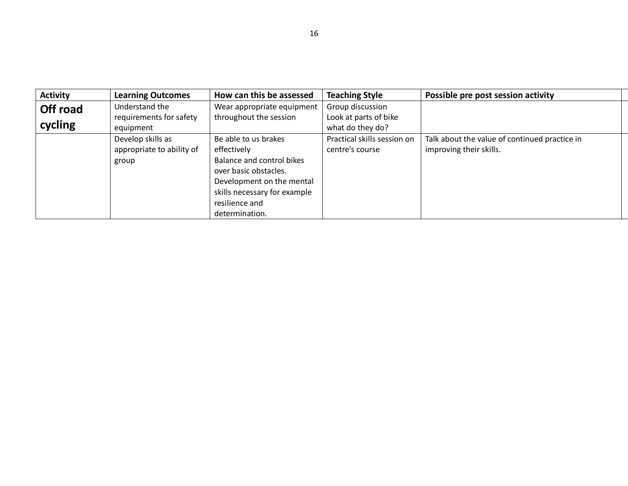| <b>Activity</b> | <b>Learning Outcomes</b>                                                                                                             | How can this be assessed     | <b>Teaching Style</b>       | Possible pre post session activity            |  |
|-----------------|--------------------------------------------------------------------------------------------------------------------------------------|------------------------------|-----------------------------|-----------------------------------------------|--|
| Off road        | Understand the                                                                                                                       | Wear appropriate equipment   | Group discussion            |                                               |  |
|                 | requirements for safety                                                                                                              | throughout the session       | Look at parts of bike       |                                               |  |
| cycling         | equipment                                                                                                                            |                              | what do they do?            |                                               |  |
|                 | Develop skills as                                                                                                                    | Be able to us brakes         | Practical skills session on | Talk about the value of continued practice in |  |
|                 | appropriate to ability of<br>effectively<br>Balance and control bikes<br>group<br>over basic obstacles.<br>Development on the mental |                              | centre's course             | improving their skills.                       |  |
|                 |                                                                                                                                      |                              |                             |                                               |  |
|                 |                                                                                                                                      |                              |                             |                                               |  |
|                 |                                                                                                                                      |                              |                             |                                               |  |
|                 |                                                                                                                                      | skills necessary for example |                             |                                               |  |
|                 |                                                                                                                                      | resilience and               |                             |                                               |  |
|                 |                                                                                                                                      | determination.               |                             |                                               |  |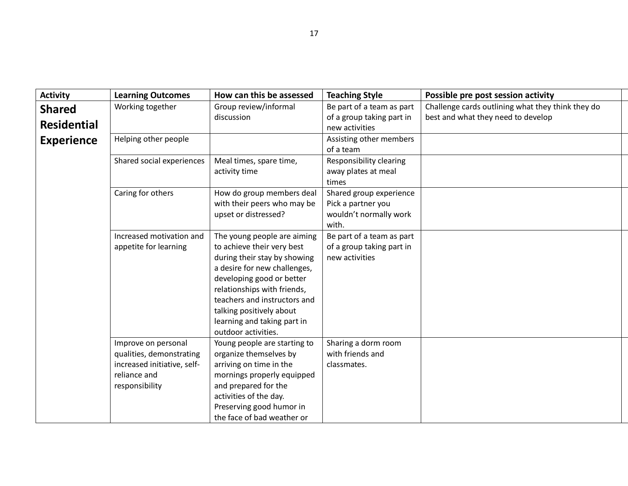| <b>Activity</b>    | <b>Learning Outcomes</b>    | How can this be assessed     | <b>Teaching Style</b>                         | Possible pre post session activity                |
|--------------------|-----------------------------|------------------------------|-----------------------------------------------|---------------------------------------------------|
| <b>Shared</b>      | Working together            | Group review/informal        | Be part of a team as part                     | Challenge cards outlining what they think they do |
| <b>Residential</b> | discussion                  |                              | of a group taking part in                     | best and what they need to develop                |
|                    |                             |                              | new activities                                |                                                   |
| <b>Experience</b>  | Helping other people        |                              | Assisting other members                       |                                                   |
|                    |                             |                              | of a team                                     |                                                   |
|                    | Shared social experiences   | Meal times, spare time,      | Responsibility clearing                       |                                                   |
|                    |                             | activity time                | away plates at meal                           |                                                   |
|                    | Caring for others           | How do group members deal    | times                                         |                                                   |
|                    |                             | with their peers who may be  | Shared group experience<br>Pick a partner you |                                                   |
|                    |                             | upset or distressed?         | wouldn't normally work                        |                                                   |
|                    |                             |                              | with.                                         |                                                   |
|                    | Increased motivation and    | The young people are aiming  | Be part of a team as part                     |                                                   |
|                    | appetite for learning       | to achieve their very best   | of a group taking part in                     |                                                   |
|                    |                             | during their stay by showing | new activities                                |                                                   |
|                    |                             | a desire for new challenges, |                                               |                                                   |
|                    |                             | developing good or better    |                                               |                                                   |
|                    |                             | relationships with friends,  |                                               |                                                   |
|                    |                             | teachers and instructors and |                                               |                                                   |
|                    |                             | talking positively about     |                                               |                                                   |
|                    |                             | learning and taking part in  |                                               |                                                   |
|                    |                             | outdoor activities.          |                                               |                                                   |
|                    | Improve on personal         | Young people are starting to | Sharing a dorm room                           |                                                   |
|                    | qualities, demonstrating    | organize themselves by       | with friends and                              |                                                   |
|                    | increased initiative, self- | arriving on time in the      | classmates.                                   |                                                   |
|                    | reliance and                | mornings properly equipped   |                                               |                                                   |
|                    | responsibility              | and prepared for the         |                                               |                                                   |
|                    |                             | activities of the day.       |                                               |                                                   |
|                    |                             | Preserving good humor in     |                                               |                                                   |
|                    |                             | the face of bad weather or   |                                               |                                                   |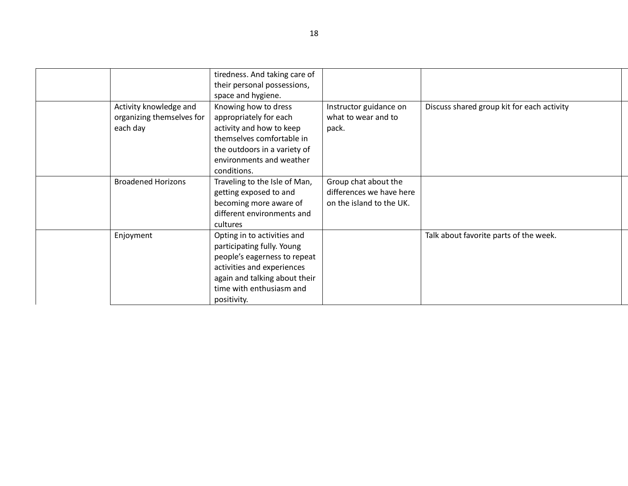|                                                                                                                                                                                                                                                       | tiredness. And taking care of |                                                                              |                                            |
|-------------------------------------------------------------------------------------------------------------------------------------------------------------------------------------------------------------------------------------------------------|-------------------------------|------------------------------------------------------------------------------|--------------------------------------------|
|                                                                                                                                                                                                                                                       | their personal possessions,   |                                                                              |                                            |
|                                                                                                                                                                                                                                                       | space and hygiene.            |                                                                              |                                            |
| Activity knowledge and<br>Knowing how to dress<br>organizing themselves for<br>appropriately for each<br>activity and how to keep<br>each day<br>themselves comfortable in<br>the outdoors in a variety of<br>environments and weather<br>conditions. |                               | Instructor guidance on<br>what to wear and to<br>pack.                       | Discuss shared group kit for each activity |
| <b>Broadened Horizons</b><br>Traveling to the Isle of Man,<br>getting exposed to and<br>becoming more aware of<br>different environments and<br>cultures                                                                                              |                               | Group chat about the<br>differences we have here<br>on the island to the UK. |                                            |
| Enjoyment<br>Opting in to activities and<br>participating fully. Young<br>people's eagerness to repeat<br>activities and experiences<br>again and talking about their<br>time with enthusiasm and<br>positivity.                                      |                               |                                                                              | Talk about favorite parts of the week.     |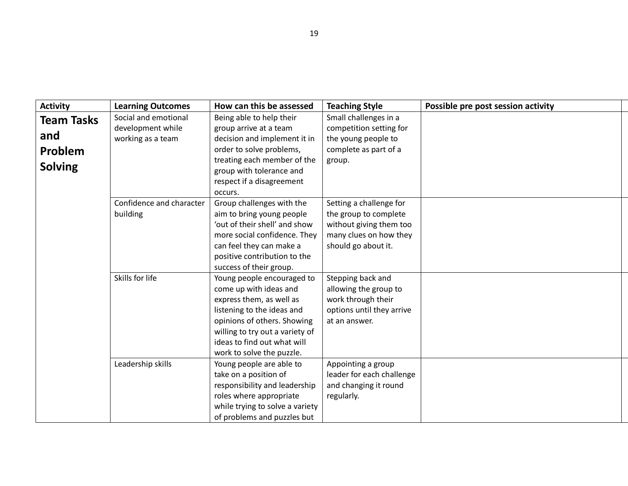| <b>Activity</b>   | <b>Learning Outcomes</b> | How can this be assessed                                 | <b>Teaching Style</b>     | Possible pre post session activity |
|-------------------|--------------------------|----------------------------------------------------------|---------------------------|------------------------------------|
| <b>Team Tasks</b> | Social and emotional     | Being able to help their                                 | Small challenges in a     |                                    |
|                   | development while        | group arrive at a team                                   | competition setting for   |                                    |
| and               | working as a team        | decision and implement it in                             | the young people to       |                                    |
| Problem           |                          | order to solve problems,                                 | complete as part of a     |                                    |
| <b>Solving</b>    |                          | treating each member of the                              | group.                    |                                    |
|                   |                          | group with tolerance and                                 |                           |                                    |
|                   |                          | respect if a disagreement                                |                           |                                    |
|                   |                          | occurs.                                                  |                           |                                    |
|                   | Confidence and character | Group challenges with the                                | Setting a challenge for   |                                    |
|                   | building                 | aim to bring young people                                | the group to complete     |                                    |
|                   |                          | 'out of their shell' and show                            | without giving them too   |                                    |
|                   |                          | more social confidence. They                             | many clues on how they    |                                    |
|                   |                          | can feel they can make a<br>positive contribution to the | should go about it.       |                                    |
|                   |                          | success of their group.                                  |                           |                                    |
|                   | Skills for life          | Young people encouraged to                               | Stepping back and         |                                    |
|                   |                          | come up with ideas and                                   | allowing the group to     |                                    |
|                   |                          | express them, as well as                                 | work through their        |                                    |
|                   |                          | listening to the ideas and                               | options until they arrive |                                    |
|                   |                          | opinions of others. Showing                              | at an answer.             |                                    |
|                   |                          | willing to try out a variety of                          |                           |                                    |
|                   |                          | ideas to find out what will                              |                           |                                    |
|                   |                          | work to solve the puzzle.                                |                           |                                    |
|                   | Leadership skills        | Young people are able to                                 | Appointing a group        |                                    |
|                   |                          | take on a position of                                    | leader for each challenge |                                    |
|                   |                          | responsibility and leadership                            | and changing it round     |                                    |
|                   |                          | roles where appropriate                                  | regularly.                |                                    |
|                   |                          | while trying to solve a variety                          |                           |                                    |
|                   |                          | of problems and puzzles but                              |                           |                                    |